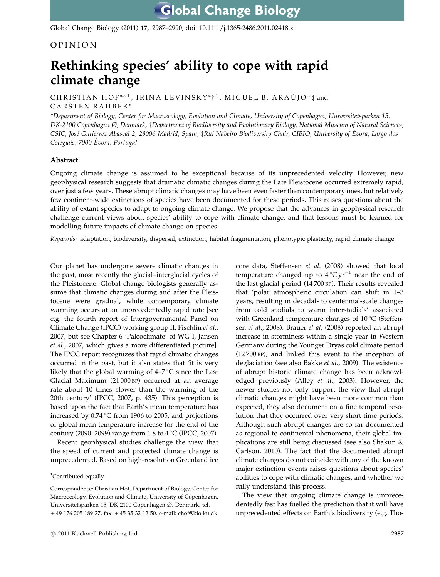Global Change Biology (2011) 17, 2987–2990, doi: 10.1111/j.1365-2486.2011.02418.x

## OPINION

# Rethinking species' ability to cope with rapid climate change

CHRISTIAN HOF\* $\dagger$ <sup>1</sup>, IRINA LEVINSKY\* $\dagger$ <sup>1</sup>, MIGUEL B. ARAÚJO $\dagger$ <sup>1</sup> and CARSTEN RAHBEK \*

\*Department of Biology, Center for Macroecology, Evolution and Climate, University of Copenhagen, Universitetsparken 15, DK-2100 Copenhagen Ø, Denmark, †Department of Biodiversity and Evolutionary Biology, National Museum of Natural Sciences, CSIC, José Gutiérrez Abascal 2, 28006 Madrid, Spain, tRui Nabeiro Biodiversity Chair, CIBIO, University of Évora, Largo dos Colegiais, 7000 Évora, Portugal

### Abstract

Ongoing climate change is assumed to be exceptional because of its unprecedented velocity. However, new geophysical research suggests that dramatic climatic changes during the Late Pleistocene occurred extremely rapid, over just a few years. These abrupt climatic changes may have been even faster than contemporary ones, but relatively few continent-wide extinctions of species have been documented for these periods. This raises questions about the ability of extant species to adapt to ongoing climate change. We propose that the advances in geophysical research challenge current views about species' ability to cope with climate change, and that lessons must be learned for modelling future impacts of climate change on species.

Keywords: adaptation, biodiversity, dispersal, extinction, habitat fragmentation, phenotypic plasticity, rapid climate change

Our planet has undergone severe climatic changes in the past, most recently the glacial–interglacial cycles of the Pleistocene. Global change biologists generally assume that climatic changes during and after the Pleistocene were gradual, while contemporary climate warming occurs at an unprecedentedly rapid rate [see e.g. the fourth report of Intergovernmental Panel on Climate Change (IPCC) working group II, Fischlin et al., 2007, but see Chapter 6 'Paleoclimate' of WG I, Jansen et al., 2007, which gives a more differentiated picture]. The IPCC report recognizes that rapid climatic changes occurred in the past, but it also states that 'it is very likely that the global warming of  $4-7$  °C since the Last Glacial Maximum (21 000 BP) occurred at an average rate about 10 times slower than the warming of the 20th century' (IPCC, 2007, p. 435). This perception is based upon the fact that Earth's mean temperature has increased by  $0.74 \degree C$  from 1906 to 2005, and projections of global mean temperature increase for the end of the century (2090–2099) range from 1.8 to  $4^{\circ}$ C (IPCC, 2007).

Recent geophysical studies challenge the view that the speed of current and projected climate change is unprecedented. Based on high-resolution Greenland ice

#### <sup>1</sup>Contributed equally.

Correspondence: Christian Hof, Department of Biology, Center for Macroecology, Evolution and Climate, University of Copenhagen, Universitetsparken 15, DK-2100 Copenhagen Ø, Denmark, tel. + 49 176 205 189 27, fax + 45 35 32 12 50, e-mail: [chof@bio.ku.dk](mailto:chof@bio.ku.dk)

core data, Steffensen et al. (2008) showed that local temperature changed up to  $4^{\circ}$ C yr<sup>-1</sup> near the end of the last glacial period (14 700 BP). Their results revealed that 'polar atmospheric circulation can shift in 1–3 years, resulting in decadal- to centennial-scale changes from cold stadials to warm interstadials' associated with Greenland temperature changes of  $10^{\circ}$ C (Steffensen et al., 2008). Brauer et al. (2008) reported an abrupt increase in storminess within a single year in Western Germany during the Younger Dryas cold climate period (12 700 BP), and linked this event to the inception of deglaciation (see also Bakke et al., 2009). The existence of abrupt historic climate change has been acknowledged previously (Alley et al., 2003). However, the newer studies not only support the view that abrupt climatic changes might have been more common than expected, they also document on a fine temporal resolution that they occurred over very short time periods. Although such abrupt changes are so far documented as regional to continental phenomena, their global implications are still being discussed (see also Shakun & Carlson, 2010). The fact that the documented abrupt climate changes do not coincide with any of the known major extinction events raises questions about species' abilities to cope with climatic changes, and whether we fully understand this process.

The view that ongoing climate change is unprecedentedly fast has fuelled the prediction that it will have unprecedented effects on Earth's biodiversity (e.g. Tho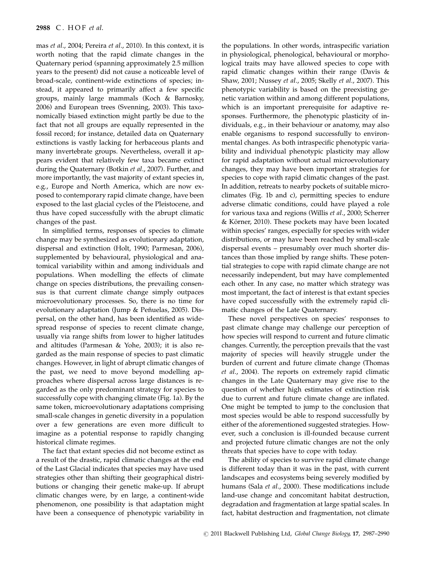mas et al., 2004; Pereira et al., 2010). In this context, it is worth noting that the rapid climate changes in the Quaternary period (spanning approximately 2.5 million years to the present) did not cause a noticeable level of broad-scale, continent-wide extinctions of species; instead, it appeared to primarily affect a few specific groups, mainly large mammals (Koch & Barnosky, 2006) and European trees (Svenning, 2003). This taxonomically biased extinction might partly be due to the fact that not all groups are equally represented in the fossil record; for instance, detailed data on Quaternary extinctions is vastly lacking for herbaceous plants and many invertebrate groups. Nevertheless, overall it appears evident that relatively few taxa became extinct during the Quaternary (Botkin et al., 2007). Further, and more importantly, the vast majority of extant species in, e.g., Europe and North America, which are now exposed to contemporary rapid climate change, have been exposed to the last glacial cycles of the Pleistocene, and thus have coped successfully with the abrupt climatic changes of the past.

In simplified terms, responses of species to climate change may be synthesized as evolutionary adaptation, dispersal and extinction (Holt, 1990; Parmesan, 2006), supplemented by behavioural, physiological and anatomical variability within and among individuals and populations. When modelling the effects of climate change on species distributions, the prevailing consensus is that current climate change simply outpaces microevolutionary processes. So, there is no time for evolutionary adaptation (Jump & Peñuelas, 2005). Dispersal, on the other hand, has been identified as widespread response of species to recent climate change, usually via range shifts from lower to higher latitudes and altitudes (Parmesan & Yohe, 2003); it is also regarded as the main response of species to past climatic changes. However, in light of abrupt climatic changes of the past, we need to move beyond modelling approaches where dispersal across large distances is regarded as the only predominant strategy for species to successfully cope with changing climate (Fig. 1a). By the same token, microevolutionary adaptations comprising small-scale changes in genetic diversity in a population over a few generations are even more difficult to imagine as a potential response to rapidly changing historical climate regimes.

The fact that extant species did not become extinct as a result of the drastic, rapid climatic changes at the end of the Last Glacial indicates that species may have used strategies other than shifting their geographical distributions or changing their genetic make-up. If abrupt climatic changes were, by en large, a continent-wide phenomenon, one possibility is that adaptation might have been a consequence of phenotypic variability in

the populations. In other words, intraspecific variation in physiological, phenological, behavioural or morphological traits may have allowed species to cope with rapid climatic changes within their range (Davis  $\&$ Shaw, 2001; Nussey et al., 2005; Skelly et al., 2007). This phenotypic variability is based on the preexisting genetic variation within and among different populations, which is an important prerequisite for adaptive responses. Furthermore, the phenotypic plasticity of individuals, e.g., in their behaviour or anatomy, may also enable organisms to respond successfully to environmental changes. As both intraspecific phenotypic variability and individual phenotypic plasticity may allow for rapid adaptation without actual microevolutionary changes, they may have been important strategies for species to cope with rapid climatic changes of the past. In addition, retreats to nearby pockets of suitable microclimates (Fig. 1b and c), permitting species to endure adverse climatic conditions, could have played a role for various taxa and regions (Willis et al., 2000; Scherrer & Körner, 2010). These pockets may have been located within species' ranges, especially for species with wider distributions, or may have been reached by small-scale dispersal events – presumably over much shorter distances than those implied by range shifts. These potential strategies to cope with rapid climate change are not necessarily independent, but may have complemented each other. In any case, no matter which strategy was most important, the fact of interest is that extant species have coped successfully with the extremely rapid climatic changes of the Late Quaternary.

These novel perspectives on species' responses to past climate change may challenge our perception of how species will respond to current and future climatic changes. Currently, the perception prevails that the vast majority of species will heavily struggle under the burden of current and future climate change (Thomas et al., 2004). The reports on extremely rapid climatic changes in the Late Quaternary may give rise to the question of whether high estimates of extinction risk due to current and future climate change are inflated. One might be tempted to jump to the conclusion that most species would be able to respond successfully by either of the aforementioned suggested strategies. However, such a conclusion is ill-founded because current and projected future climatic changes are not the only threats that species have to cope with today.

The ability of species to survive rapid climate change is different today than it was in the past, with current landscapes and ecosystems being severely modified by humans (Sala et al., 2000). These modifications include land-use change and concomitant habitat destruction, degradation and fragmentation at large spatial scales. In fact, habitat destruction and fragmentation, not climate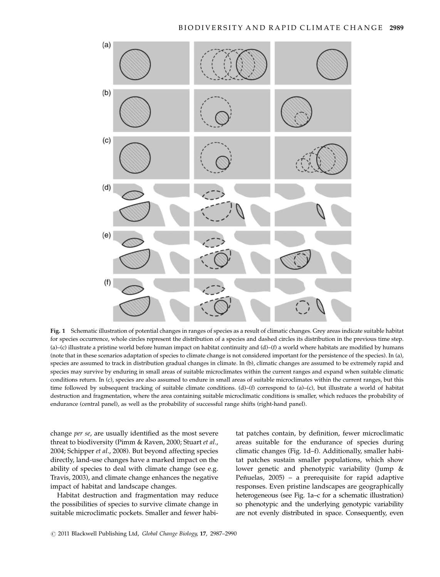

Fig. 1 Schematic illustration of potential changes in ranges of species as a result of climatic changes. Grey areas indicate suitable habitat for species occurrence, whole circles represent the distribution of a species and dashed circles its distribution in the previous time step. (a)–(c) illustrate a pristine world before human impact on habitat continuity and (d)–(f) a world where habitats are modified by humans (note that in these scenarios adaptation of species to climate change is not considered important for the persistence of the species). In (a), species are assumed to track in distribution gradual changes in climate. In (b), climatic changes are assumed to be extremely rapid and species may survive by enduring in small areas of suitable microclimates within the current ranges and expand when suitable climatic conditions return. In (c), species are also assumed to endure in small areas of suitable microclimates within the current ranges, but this time followed by subsequent tracking of suitable climate conditions. (d)–(f) correspond to (a)–(c), but illustrate a world of habitat destruction and fragmentation, where the area containing suitable microclimatic conditions is smaller, which reduces the probability of endurance (central panel), as well as the probability of successful range shifts (right-hand panel).

change per se, are usually identified as the most severe threat to biodiversity (Pimm & Raven, 2000; Stuart et al., 2004; Schipper et al., 2008). But beyond affecting species directly, land-use changes have a marked impact on the ability of species to deal with climate change (see e.g. Travis, 2003), and climate change enhances the negative impact of habitat and landscape changes.

Habitat destruction and fragmentation may reduce the possibilities of species to survive climate change in suitable microclimatic pockets. Smaller and fewer habi-

tat patches contain, by definition, fewer microclimatic areas suitable for the endurance of species during climatic changes (Fig. 1d–f). Additionally, smaller habitat patches sustain smaller populations, which show lower genetic and phenotypic variability (Jump & Peñuelas,  $2005$ ) – a prerequisite for rapid adaptive responses. Even pristine landscapes are geographically heterogeneous (see Fig. 1a–c for a schematic illustration) so phenotypic and the underlying genotypic variability are not evenly distributed in space. Consequently, even